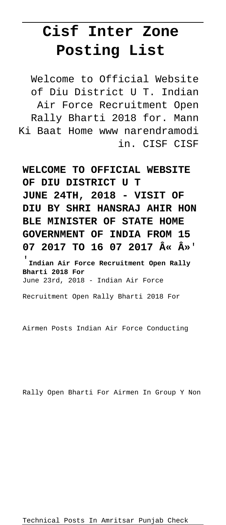## **Cisf Inter Zone Posting List**

Welcome to Official Website of Diu District U T. Indian Air Force Recruitment Open Rally Bharti 2018 for. Mann Ki Baat Home www narendramodi in. CISF CISF

**WELCOME TO OFFICIAL WEBSITE OF DIU DISTRICT U T JUNE 24TH, 2018 - VISIT OF DIU BY SHRI HANSRAJ AHIR HON BLE MINISTER OF STATE HOME GOVERNMENT OF INDIA FROM 15** 07 2017 TO 16 07 2017  $\hat{A} \times \hat{A} \times'$ 

'**Indian Air Force Recruitment Open Rally Bharti 2018 For** June 23rd, 2018 - Indian Air Force

Recruitment Open Rally Bharti 2018 For

Airmen Posts Indian Air Force Conducting

Rally Open Bharti For Airmen In Group Y Non